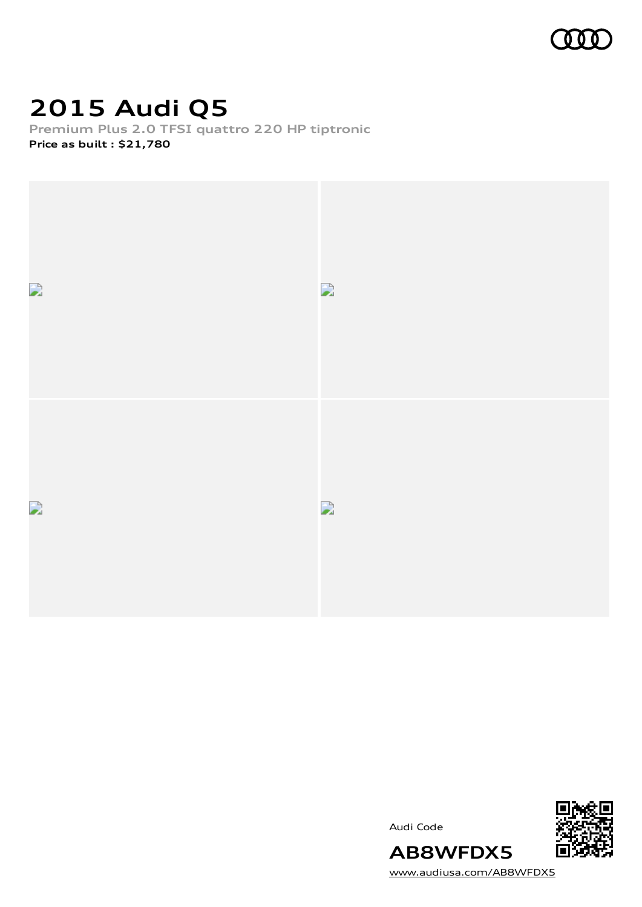

## **2015 Audi Q5**

**Premium Plus 2.0 TFSI quattro 220 HP tiptronic Price as built [:](#page-10-0) \$21,780**







[www.audiusa.com/AB8WFDX5](https://www.audiusa.com/AB8WFDX5)

**AB8WFDX5**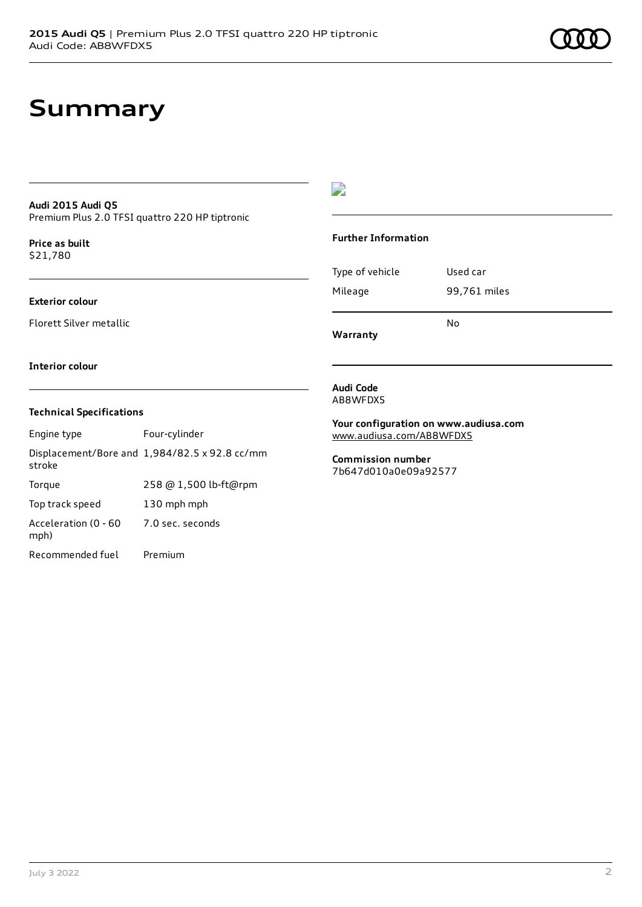### **Summary**

#### **Audi 2015 Audi Q5** Premium Plus 2.0 TFSI quattro 220 HP tiptronic

**Price as buil[t](#page-10-0)** \$21,780

### **Exterior colour**

Florett Silver metallic

 $\overline{\phantom{a}}$ 

### **Further Information**

|                 | N٥           |
|-----------------|--------------|
| Mileage         | 99,761 miles |
| Type of vehicle | Used car     |

**Warranty**

#### **Interior colour**

### **Technical Specifications**

| Engine type                  | Four-cylinder                                 |
|------------------------------|-----------------------------------------------|
| stroke                       | Displacement/Bore and 1,984/82.5 x 92.8 cc/mm |
| Torque                       | 258 @ 1,500 lb-ft@rpm                         |
| Top track speed              | 130 mph mph                                   |
| Acceleration (0 - 60<br>mph) | 7.0 sec. seconds                              |
| Recommended fuel             | Premium                                       |

#### **Audi Code** AB8WFDX5

**Your configuration on www.audiusa.com** [www.audiusa.com/AB8WFDX5](https://www.audiusa.com/AB8WFDX5)

**Commission number** 7b647d010a0e09a92577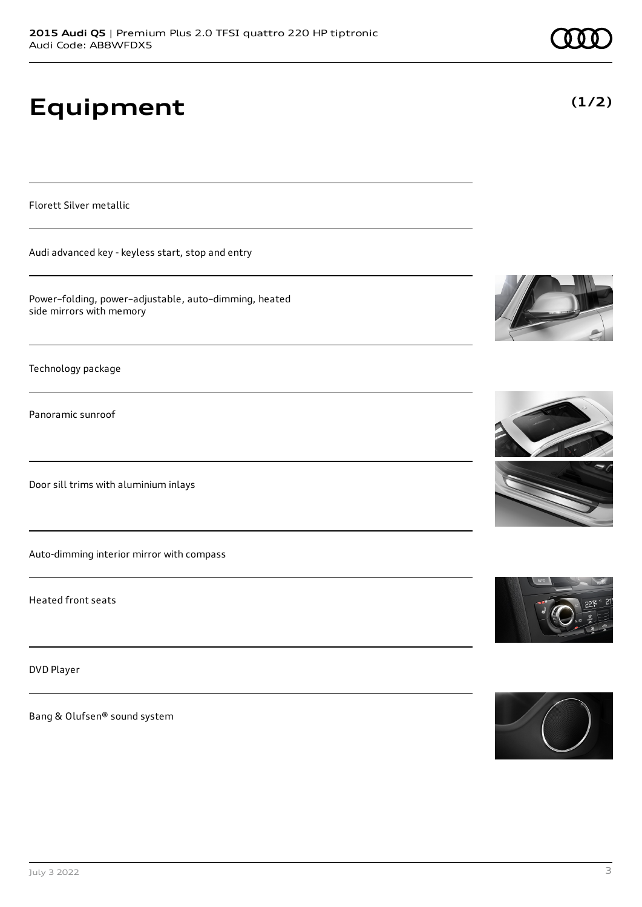# **Equipment**

Florett Silver metallic

Audi advanced key - keyless start, stop and entry

Power–folding, power–adjustable, auto–dimming, heated side mirrors with memory

Technology package

Panoramic sunroof

Door sill trims with aluminium inlays

Auto-dimming interior mirror with compass

Heated front seats

DVD Player

Bang & Olufsen® sound system









**(1/2)**

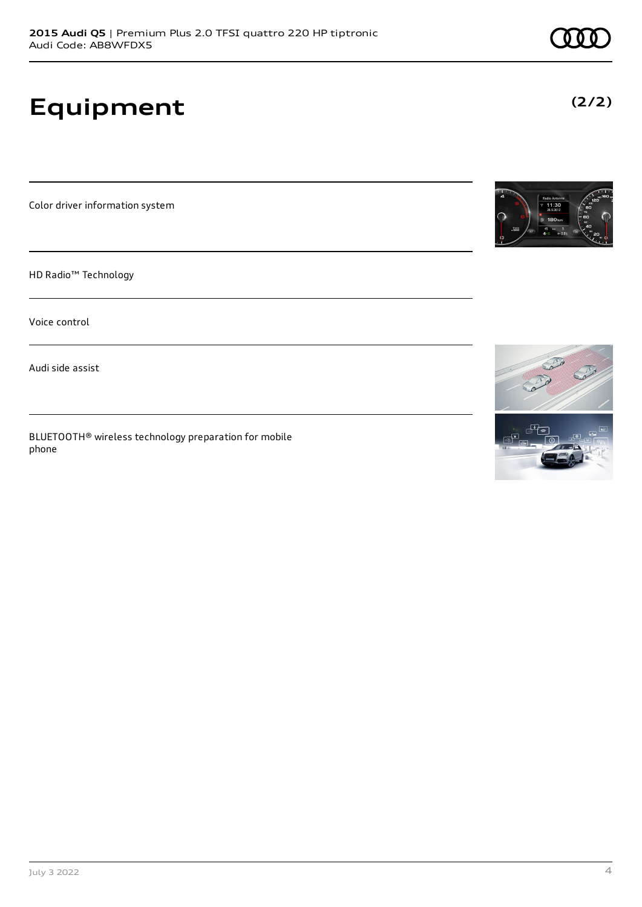**2015 Audi Q5** | Premium Plus 2.0 TFSI quattro 220 HP tiptronic

Color driver information system

**Equipment**

Audi Code: AB8WFDX5

HD Radio™ Technology

Voice control

Audi side assist

BLUETOOTH® wireless technology preparation for mobile phone

**(2/2)**



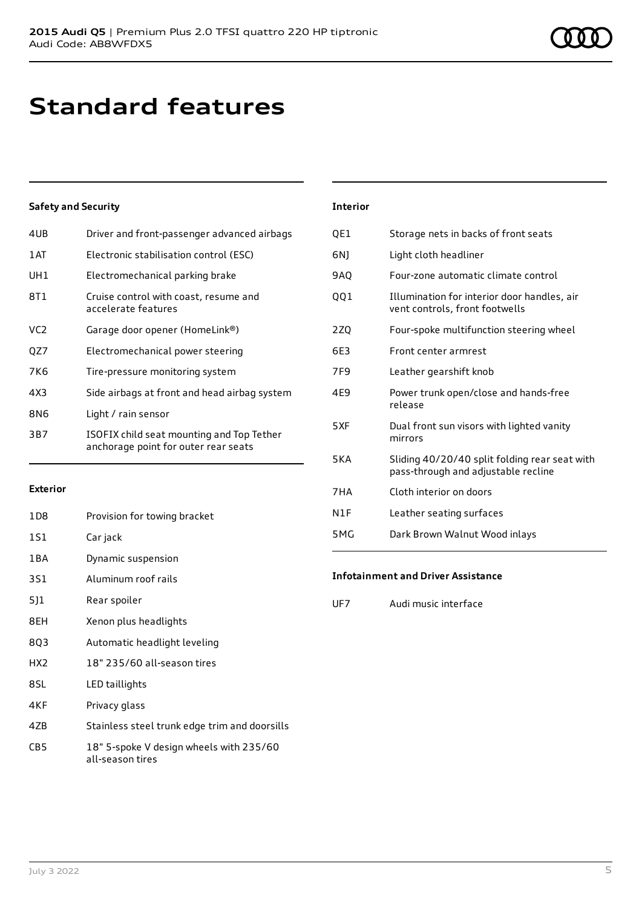## **Standard features**

### **Safety and Security**

| 4UB | Driver and front-passenger advanced airbags                                       |
|-----|-----------------------------------------------------------------------------------|
| 1AT | Electronic stabilisation control (ESC)                                            |
| UH1 | Electromechanical parking brake                                                   |
| 8T1 | Cruise control with coast, resume and<br>accelerate features                      |
| VC2 | Garage door opener (HomeLink®)                                                    |
| QZ7 | Electromechanical power steering                                                  |
| 7K6 | Tire-pressure monitoring system                                                   |
| 4X3 | Side airbags at front and head airbag system                                      |
| 8N6 | Light / rain sensor                                                               |
| 3B7 | ISOFIX child seat mounting and Top Tether<br>anchorage point for outer rear seats |

### **Exterior**

| 1D <sub>8</sub> | Provision for towing bracket                            |
|-----------------|---------------------------------------------------------|
| 151             | Car jack                                                |
| 1BA             | Dynamic suspension                                      |
| 3S1             | Aluminum roof rails                                     |
| 511             | Rear spoiler                                            |
| 8EH             | Xenon plus headlights                                   |
| 8Q3             | Automatic headlight leveling                            |
| HX2             | 18" 235/60 all-season tires                             |
| 8SL             | LED taillights                                          |
| 4KF             | Privacy glass                                           |
| 47D             | ومجواد اموره ومزيره ومواجها والمرواء ومحاورها والمزودات |

- 4ZB Stainless steel trunk edge trim and doorsills
- CB5 18" 5-spoke V design wheels with 235/60 all-season tires

#### **Interior**

| QE1             | Storage nets in backs of front seats                                                 |
|-----------------|--------------------------------------------------------------------------------------|
| 6N1             | Light cloth headliner                                                                |
| <b>9AQ</b>      | Four-zone automatic climate control                                                  |
| QQ1             | Illumination for interior door handles, air<br>vent controls, front footwells        |
| 2ZQ             | Four-spoke multifunction steering wheel                                              |
| 6F3             | Front center armrest                                                                 |
| 7F <sub>9</sub> | Leather gearshift knob                                                               |
| 4E9             | Power trunk open/close and hands-free<br>release                                     |
| 5XF             | Dual front sun visors with lighted vanity<br>mirrors                                 |
| <b>5KA</b>      | Sliding 40/20/40 split folding rear seat with<br>pass-through and adjustable recline |
| 7HA             | Cloth interior on doors                                                              |
| N1F             | Leather seating surfaces                                                             |
| 5 M G           | Dark Brown Walnut Wood inlays                                                        |
|                 |                                                                                      |

### **Infotainment and Driver Assistance**

UF7 Audi music interface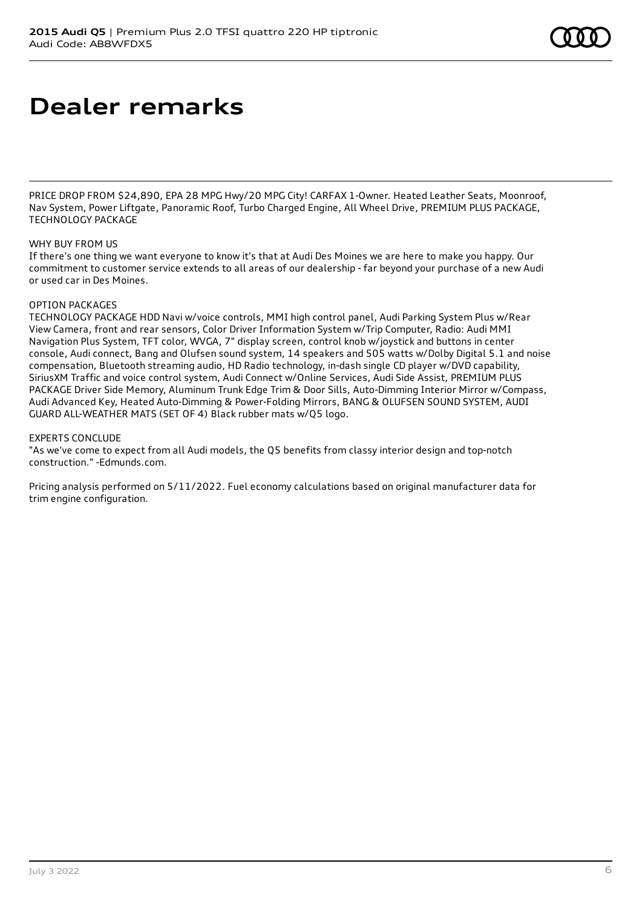### **Dealer remarks**

PRICE DROP FROM \$24,890, EPA 28 MPG Hwy/20 MPG City! CARFAX 1-Owner. Heated Leather Seats, Moonroof, Nav System, Power Liftgate, Panoramic Roof, Turbo Charged Engine, All Wheel Drive, PREMIUM PLUS PACKAGE, TECHNOLOGY PACKAGE

### WHY BUY FROM US

If there's one thing we want everyone to know it's that at Audi Des Moines we are here to make you happy. Our commitment to customer service extends to all areas of our dealership - far beyond your purchase of a new Audi or used car in Des Moines.

#### OPTION PACKAGES

TECHNOLOGY PACKAGE HDD Navi w/voice controls, MMI high control panel, Audi Parking System Plus w/Rear View Camera, front and rear sensors, Color Driver Information System w/Trip Computer, Radio: Audi MMI Navigation Plus System, TFT color, WVGA, 7" display screen, control knob w/joystick and buttons in center console, Audi connect, Bang and Olufsen sound system, 14 speakers and 505 watts w/Dolby Digital 5.1 and noise compensation, Bluetooth streaming audio, HD Radio technology, in-dash single CD player w/DVD capability, SiriusXM Traffic and voice control system, Audi Connect w/Online Services, Audi Side Assist, PREMIUM PLUS PACKAGE Driver Side Memory, Aluminum Trunk Edge Trim & Door Sills, Auto-Dimming Interior Mirror w/Compass, Audi Advanced Key, Heated Auto-Dimming & Power-Folding Mirrors, BANG & OLUFSEN SOUND SYSTEM, AUDI GUARD ALL-WEATHER MATS (SET OF 4) Black rubber mats w/Q5 logo.

#### EXPERTS CONCLUDE

"As we've come to expect from all Audi models, the Q5 benefits from classy interior design and top-notch construction." -Edmunds.com.

Pricing analysis performed on 5/11/2022. Fuel economy calculations based on original manufacturer data for trim engine configuration.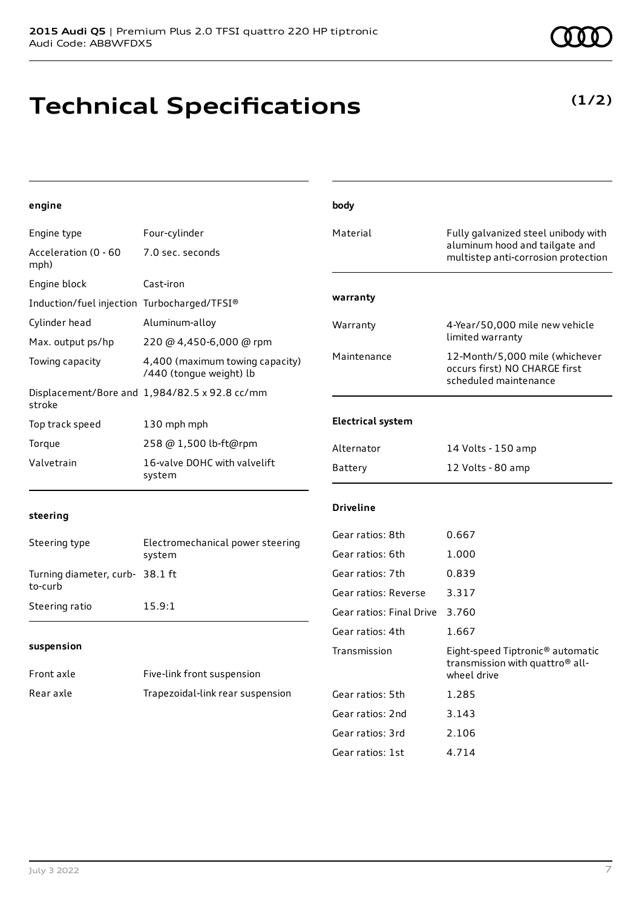## **Technical Specifications**

**(1/2)**

| engine                                      |                                                            | body                                 |                                                                                          |
|---------------------------------------------|------------------------------------------------------------|--------------------------------------|------------------------------------------------------------------------------------------|
| Engine type                                 | Four-cylinder                                              | Material                             | Fully galvanized steel unibody with                                                      |
| Acceleration (0 - 60<br>mph)                | 7.0 sec. seconds                                           |                                      | aluminum hood and tailgate and<br>multistep anti-corrosion protection                    |
| Engine block                                | Cast-iron                                                  |                                      |                                                                                          |
| Induction/fuel injection Turbocharged/TFSI® |                                                            | warranty                             |                                                                                          |
| Cylinder head                               | Aluminum-alloy                                             | Warranty                             | 4-Year/50,000 mile new vehicle                                                           |
| Max. output ps/hp                           | 220 @ 4,450-6,000 @ rpm                                    |                                      | limited warranty                                                                         |
| Towing capacity                             | 4,400 (maximum towing capacity)<br>/440 (tongue weight) lb | Maintenance                          | 12-Month/5,000 mile (whichever<br>occurs first) NO CHARGE first<br>scheduled maintenance |
| stroke                                      | Displacement/Bore and 1,984/82.5 x 92.8 cc/mm              |                                      |                                                                                          |
| Top track speed                             | 130 mph mph                                                | <b>Electrical system</b>             |                                                                                          |
| Torque                                      | 258 @ 1,500 lb-ft@rpm                                      | Alternator                           | 14 Volts - 150 amp                                                                       |
| Valvetrain                                  | 16-valve DOHC with valvelift<br>system                     | Battery                              | 12 Volts - 80 amp                                                                        |
| steering                                    |                                                            | <b>Driveline</b>                     |                                                                                          |
| Steering type                               | Electromechanical power steering<br>system                 | Gear ratios: 8th<br>Gear ratios: 6th | 0.667<br>1.000                                                                           |
| Turning diameter, curb- 38.1 ft             |                                                            | Gear ratios: 7th                     | 0.839                                                                                    |
| to-curb                                     |                                                            | Gear ratios: Reverse                 | 3.317                                                                                    |
| Steering ratio                              | 15.9:1                                                     | Gear ratios: Final Drive             | 3.760                                                                                    |
|                                             |                                                            | Gear ratios: 4th                     | 1.667                                                                                    |
| suspension                                  |                                                            | Transmission                         | Eight-speed Tiptronic <sup>®</sup> automatic                                             |
| Front axle                                  | Five-link front suspension                                 |                                      | transmission with quattro <sup>®</sup> all-<br>wheel drive                               |
| Rear axle                                   | Trapezoidal-link rear suspension                           | Gear ratios: 5th                     | 1.285                                                                                    |
|                                             |                                                            | Gear ratios: 2nd                     | 3.143                                                                                    |
|                                             |                                                            | Gear ratios: 3rd                     | 2.106                                                                                    |
|                                             |                                                            | Gear ratios: 1st                     | 4.714                                                                                    |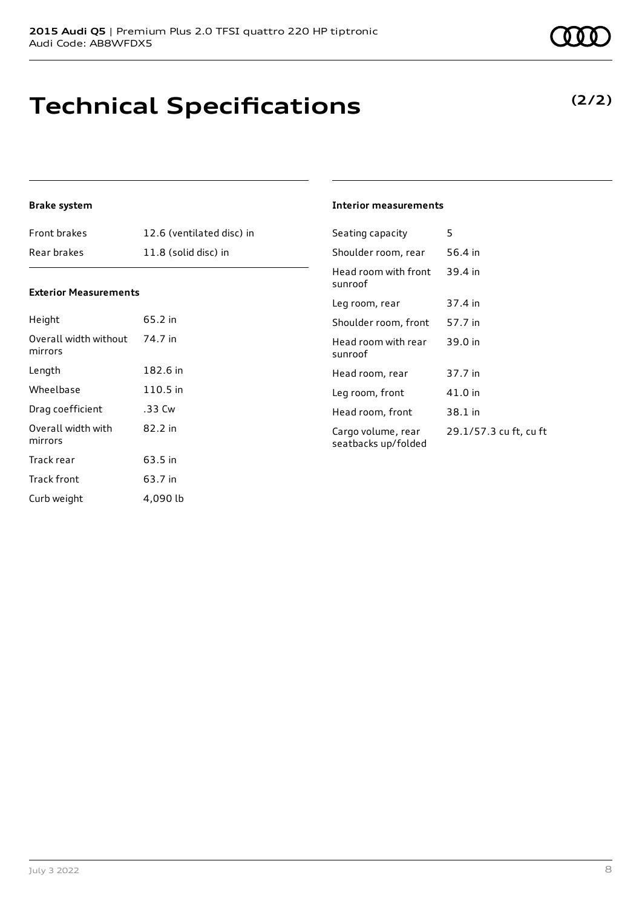## **Technical Specifications**

July 3 2022 8

### **Brake system**

| <b>Front brakes</b> | 12.6 (ventilated disc) in |
|---------------------|---------------------------|
| Rear brakes         | 11.8 (solid disc) in      |

### **Exterior Measurements**

| Height                           | 65.2 in  |
|----------------------------------|----------|
| Overall width without<br>mirrors | 74.7 in  |
| Length                           | 182.6 in |
| Wheelbase                        | 110.5 in |
| Drag coefficient                 | .33 Cw   |
| Overall width with<br>mirrors    | 82.2 in  |
| Track rear                       | 63.5 in  |
| Track front                      | 63.7 in  |
| Curb weight                      | 4,090 lb |

### **Interior measurements**

| Seating capacity                          | 5                      |
|-------------------------------------------|------------------------|
| Shoulder room, rear                       | 56.4 in                |
| Head room with front<br>sunroof           | 39.4 in                |
| Leg room, rear                            | 37.4 in                |
| Shoulder room, front                      | 57.7 in                |
| Head room with rear<br>sunroof            | 39.0 in                |
| Head room, rear                           | 37.7 in                |
| Leg room, front                           | 41.0 in                |
| Head room, front                          | 38.1 in                |
| Cargo volume, rear<br>seatbacks up/folded | 29.1/57.3 cu ft, cu ft |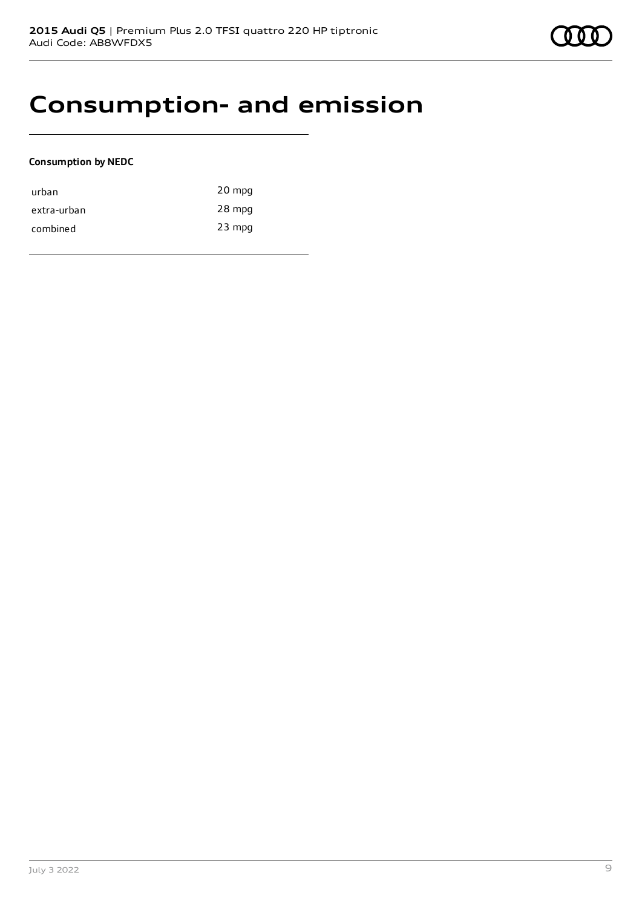

### **Consumption- and emission**

### **Consumption by NEDC**

| urban       | 20 mpg   |
|-------------|----------|
| extra-urban | 28 mpg   |
| combined    | $23$ mpg |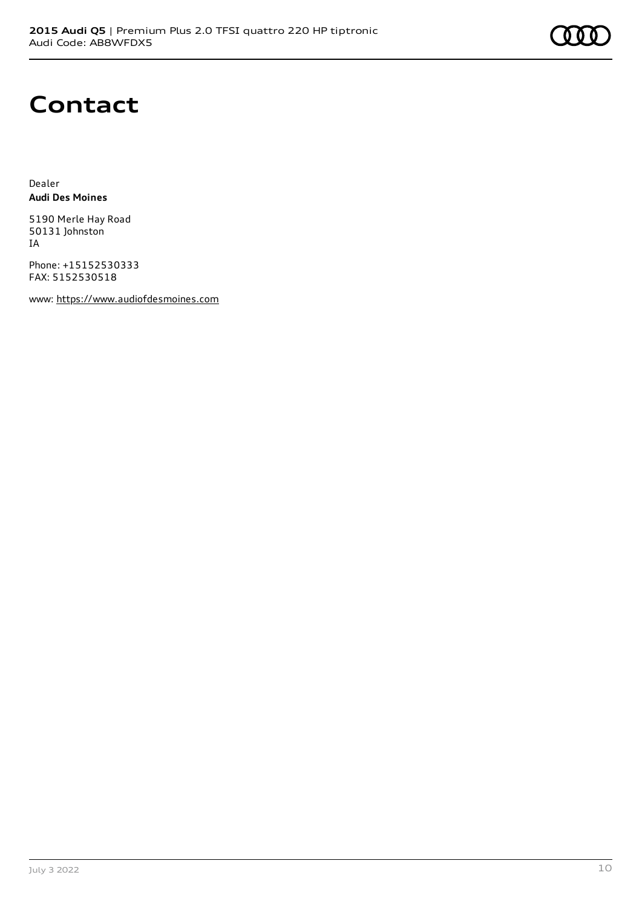### **Contact**

Dealer **Audi Des Moines**

5190 Merle Hay Road 50131 Johnston IA

Phone: +15152530333 FAX: 5152530518

www: [https://www.audiofdesmoines.com](https://www.audiofdesmoines.com/)